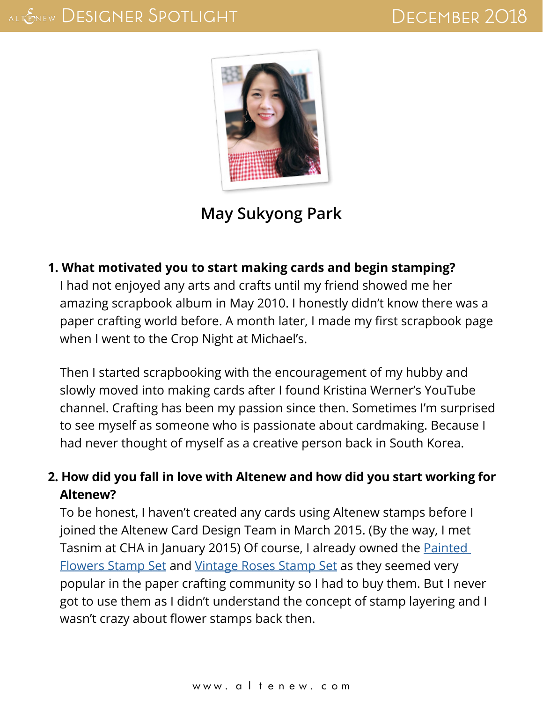

# **May Sukyong Park**

#### **1. What motivated you to start making cards and begin stamping?**

I had not enjoyed any arts and crafts until my friend showed me her amazing scrapbook album in May 2010. I honestly didn't know there was a paper crafting world before. A month later, I made my first scrapbook page when I went to the Crop Night at Michael's.

Then I started scrapbooking with the encouragement of my hubby and slowly moved into making cards after I found Kristina Werner's YouTube channel. Crafting has been my passion since then. Sometimes I'm surprised to see myself as someone who is passionate about cardmaking. Because I had never thought of myself as a creative person back in South Korea.

# **2. How did you fall in love with Altenew and how did you start working for Altenew?**

To be honest, I haven't created any cards using Altenew stamps before I joined the Altenew Card Design Team in March 2015. (By the way, I met Tasnim at CHA in January 2015) Of course, I already owned the [Painted](https://altenew.com/products/painted-flowers)  [Flowers Stamp Set](https://altenew.com/products/painted-flowers) and [Vintage Roses Stamp Set](https://altenew.com/products/vintage-roses) as they seemed very popular in the paper crafting community so I had to buy them. But I never got to use them as I didn't understand the concept of stamp layering and I wasn't crazy about flower stamps back then.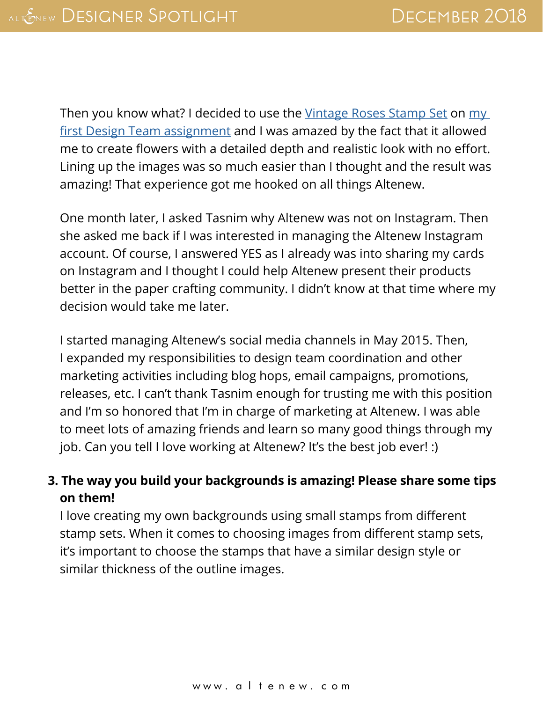Then you know what? I decided to use the [Vintage Roses Stamp Set](https://altenew.com/products/vintage-roses) on my [first Design Team assignment](http://altenewblog.com/2015/03/23/pop-art-rose-card-from-may/) and I was amazed by the fact that it allowed me to create flowers with a detailed depth and realistic look with no effort. Lining up the images was so much easier than I thought and the result was amazing! That experience got me hooked on all things Altenew.

One month later, I asked Tasnim why Altenew was not on Instagram. Then she asked me back if I was interested in managing the Altenew Instagram account. Of course, I answered YES as I already was into sharing my cards on Instagram and I thought I could help Altenew present their products better in the paper crafting community. I didn't know at that time where my decision would take me later.

I started managing Altenew's social media channels in May 2015. Then, I expanded my responsibilities to design team coordination and other marketing activities including blog hops, email campaigns, promotions, releases, etc. I can't thank Tasnim enough for trusting me with this position and I'm so honored that I'm in charge of marketing at Altenew. I was able to meet lots of amazing friends and learn so many good things through my job. Can you tell I love working at Altenew? It's the best job ever! :)

### **3. The way you build your backgrounds is amazing! Please share some tips on them!**

I love creating my own backgrounds using small stamps from different stamp sets. When it comes to choosing images from different stamp sets, it's important to choose the stamps that have a similar design style or similar thickness of the outline images.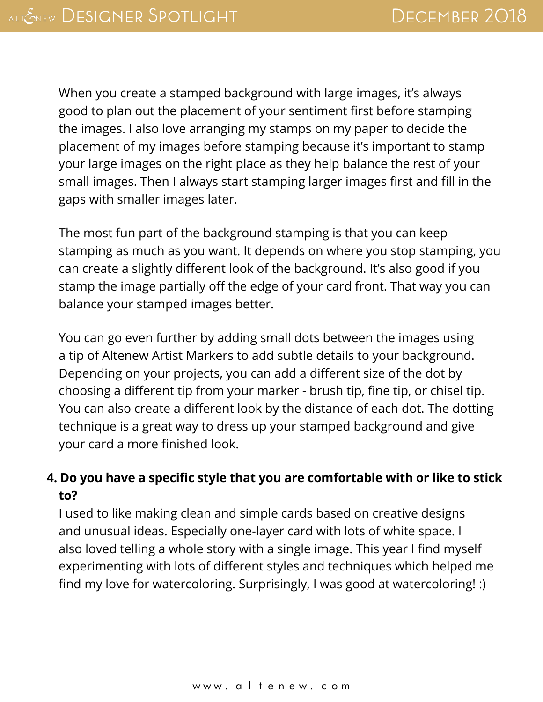When you create a stamped background with large images, it's always good to plan out the placement of your sentiment first before stamping the images. I also love arranging my stamps on my paper to decide the placement of my images before stamping because it's important to stamp your large images on the right place as they help balance the rest of your small images. Then I always start stamping larger images first and fill in the gaps with smaller images later.

The most fun part of the background stamping is that you can keep stamping as much as you want. It depends on where you stop stamping, you can create a slightly different look of the background. It's also good if you stamp the image partially off the edge of your card front. That way you can balance your stamped images better.

You can go even further by adding small dots between the images using a tip of Altenew Artist Markers to add subtle details to your background. Depending on your projects, you can add a different size of the dot by choosing a different tip from your marker - brush tip, fine tip, or chisel tip. You can also create a different look by the distance of each dot. The dotting technique is a great way to dress up your stamped background and give your card a more finished look.

### **4. Do you have a specific style that you are comfortable with or like to stick to?**

I used to like making clean and simple cards based on creative designs and unusual ideas. Especially one-layer card with lots of white space. I also loved telling a whole story with a single image. This year I find myself experimenting with lots of different styles and techniques which helped me find my love for watercoloring. Surprisingly, I was good at watercoloring! :)